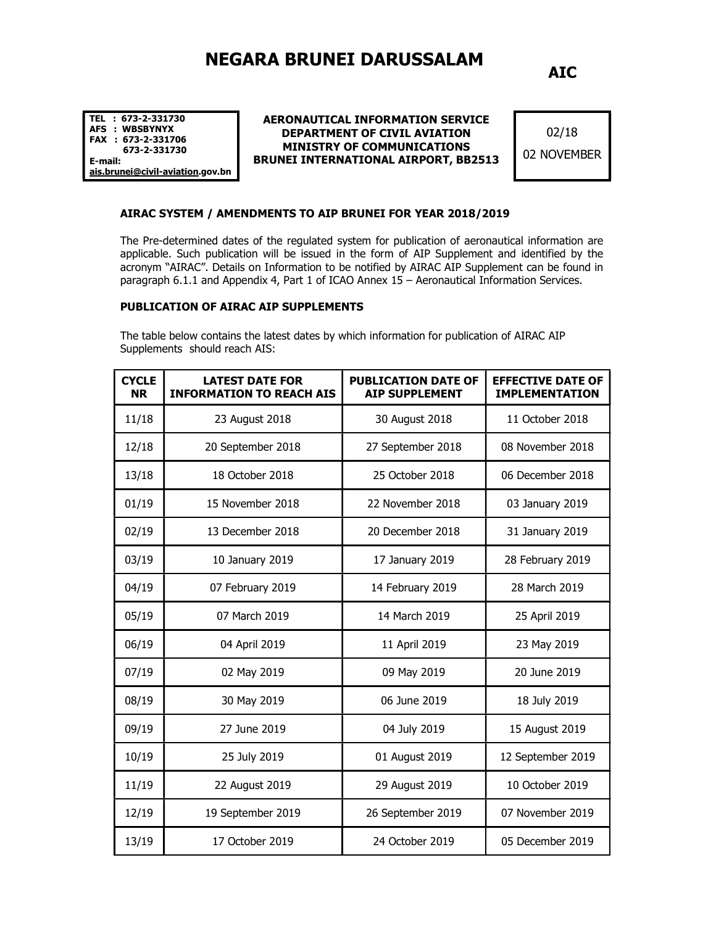# NEGARA BRUNEI DARUSSALAM

AIC

TEL : 673-2-331730 AFS : WBSBYNYX FAX : 673-2-331706 673-2-331730 E-mail: ais.brunei@civil-aviation.gov.bn

#### AERONAUTICAL INFORMATION SERVICE DEPARTMENT OF CIVIL AVIATION MINISTRY OF COMMUNICATIONS BRUNEI INTERNATIONAL AIRPORT, BB2513

02/18 02 NOVEMBER

#### AIRAC SYSTEM / AMENDMENTS TO AIP BRUNEI FOR YEAR 2018/2019

The Pre-determined dates of the regulated system for publication of aeronautical information are applicable. Such publication will be issued in the form of AIP Supplement and identified by the acronym "AIRAC". Details on Information to be notified by AIRAC AIP Supplement can be found in paragraph 6.1.1 and Appendix 4, Part 1 of ICAO Annex 15 – Aeronautical Information Services.

#### PUBLICATION OF AIRAC AIP SUPPLEMENTS

The table below contains the latest dates by which information for publication of AIRAC AIP Supplements should reach AIS:

| <b>CYCLE</b><br><b>NR</b> | <b>LATEST DATE FOR</b><br><b>INFORMATION TO REACH AIS</b> | <b>PUBLICATION DATE OF</b><br><b>AIP SUPPLEMENT</b> | <b>EFFECTIVE DATE OF</b><br><b>IMPLEMENTATION</b> |
|---------------------------|-----------------------------------------------------------|-----------------------------------------------------|---------------------------------------------------|
| 11/18                     | 23 August 2018                                            | 30 August 2018                                      | 11 October 2018                                   |
| 12/18                     | 20 September 2018                                         | 27 September 2018                                   | 08 November 2018                                  |
| 13/18                     | 18 October 2018                                           | 25 October 2018                                     | 06 December 2018                                  |
| 01/19                     | 15 November 2018                                          | 22 November 2018                                    | 03 January 2019                                   |
| 02/19                     | 13 December 2018                                          | 20 December 2018                                    | 31 January 2019                                   |
| 03/19                     | 10 January 2019                                           | 17 January 2019                                     | 28 February 2019                                  |
| 04/19                     | 07 February 2019                                          | 14 February 2019                                    | 28 March 2019                                     |
| 05/19                     | 07 March 2019                                             | 14 March 2019                                       | 25 April 2019                                     |
| 06/19                     | 04 April 2019                                             | 11 April 2019                                       | 23 May 2019                                       |
| 07/19                     | 02 May 2019                                               | 09 May 2019                                         | 20 June 2019                                      |
| 08/19                     | 30 May 2019                                               | 06 June 2019                                        | 18 July 2019                                      |
| 09/19                     | 27 June 2019                                              | 04 July 2019                                        | 15 August 2019                                    |
| 10/19                     | 25 July 2019                                              | 01 August 2019                                      | 12 September 2019                                 |
| 11/19                     | 22 August 2019                                            | 29 August 2019                                      | 10 October 2019                                   |
| 12/19                     | 19 September 2019                                         | 26 September 2019                                   | 07 November 2019                                  |
| 13/19                     | 17 October 2019                                           | 24 October 2019                                     | 05 December 2019                                  |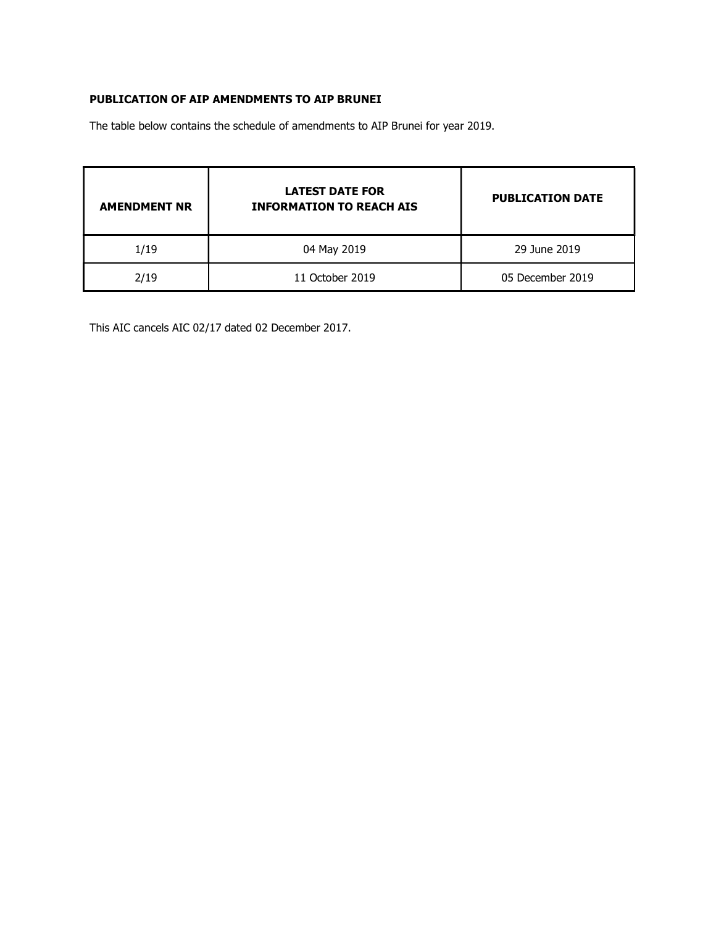### PUBLICATION OF AIP AMENDMENTS TO AIP BRUNEI

The table below contains the schedule of amendments to AIP Brunei for year 2019.

| <b>AMENDMENT NR</b> | <b>LATEST DATE FOR</b><br><b>INFORMATION TO REACH AIS</b> | <b>PUBLICATION DATE</b> |
|---------------------|-----------------------------------------------------------|-------------------------|
| 1/19                | 04 May 2019                                               | 29 June 2019            |
| 2/19                | 11 October 2019                                           | 05 December 2019        |

This AIC cancels AIC 02/17 dated 02 December 2017.